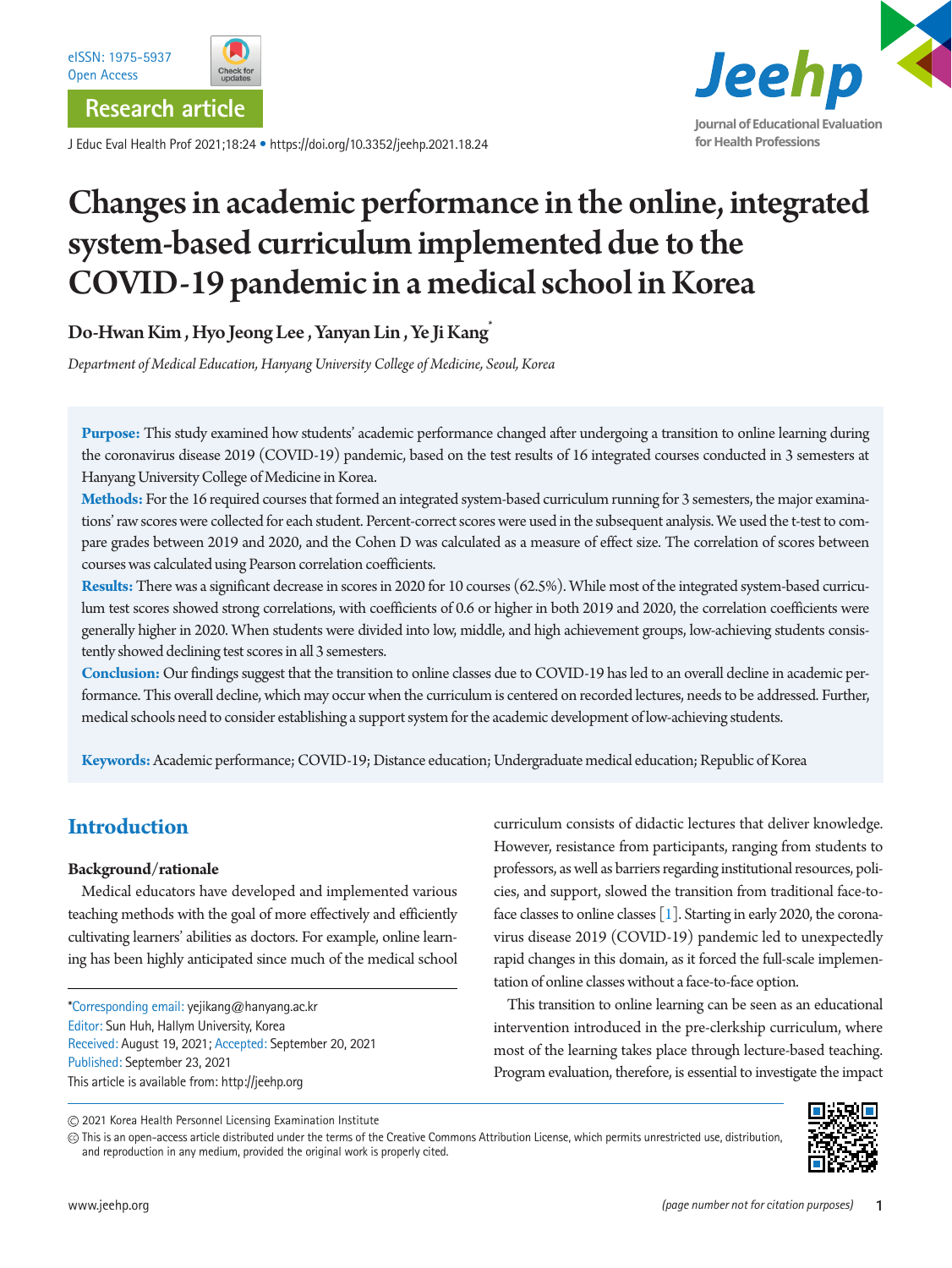

J Educ Eval Health Prof 2021;18:24 • https://doi.org/10.3352/jeehp.2021.18.24



# Changes in academic performance in the online, integrated system-based curriculum implemented due to the COVID-19 pandemic in a medical school in Korea

Do-Hwan Kim , Hyo Jeong Lee , Yanyan Lin , Ye Ji Kang\*

*Department of Medical Education, Hanyang University College of Medicine, Seoul, Korea*

**Purpose:** This study examined how students' academic performance changed after undergoing a transition to online learning during the coronavirus disease 2019 (COVID-19) pandemic, based on the test results of 16 integrated courses conducted in 3 semesters at Hanyang University College of Medicine in Korea.

**Methods:** For the 16 required courses that formed an integrated system-based curriculum running for 3 semesters, the major examinations' raw scores were collected for each student. Percent-correct scores were used in the subsequent analysis. We used the t-test to compare grades between 2019 and 2020, and the Cohen D was calculated as a measure of effect size. The correlation of scores between courses was calculated using Pearson correlation coefficients.

**Results:** There was a significant decrease in scores in 2020 for 10 courses (62.5%). While most of the integrated system-based curriculum test scores showed strong correlations, with coefficients of 0.6 or higher in both 2019 and 2020, the correlation coefficients were generally higher in 2020. When students were divided into low, middle, and high achievement groups, low-achieving students consistently showed declining test scores in all 3 semesters.

**Conclusion:** Our findings suggest that the transition to online classes due to COVID-19 has led to an overall decline in academic performance. This overall decline, which may occur when the curriculum is centered on recorded lectures, needs to be addressed. Further, medical schools need to consider establishing a support system for the academic development of low-achieving students.

**Keywords:** Academic performance; COVID-19; Distance education; Undergraduate medical education; Republic of Korea

# **Introduction**

## **Background/rationale**

Medical educators have developed and implemented various teaching methods with the goal of more effectively and efficiently cultivating learners' abilities as doctors. For example, online learning has been highly anticipated since much of the medical school

\*Corresponding email: yejikang@hanyang.ac.kr Editor: Sun Huh, Hallym University, Korea Received: August 19, 2021; Accepted: September 20, 2021 Published: September 23, 2021 This article is available from: http://jeehp.org

curriculum consists of didactic lectures that deliver knowledge. However, resistance from participants, ranging from students to professors, as well as barriers regarding institutional resources, policies, and support, slowed the transition from traditional face-toface classes to online classes [\[1\]](#page-8-0). Starting in early 2020, the coronavirus disease 2019 (COVID-19) pandemic led to unexpectedly rapid changes in this domain, as it forced the full-scale implementation of online classes without a face-to-face option.

This transition to online learning can be seen as an educational intervention introduced in the pre-clerkship curriculum, where most of the learning takes place through lecture-based teaching. Program evaluation, therefore, is essential to investigate the impact

2021 Korea Health Personnel Licensing Examination Institute

This is an open-access article distributed under the terms of the Creative Commons Attribution License, which permits unrestricted use, distribution, and reproduction in any medium, provided the original work is properly cited.

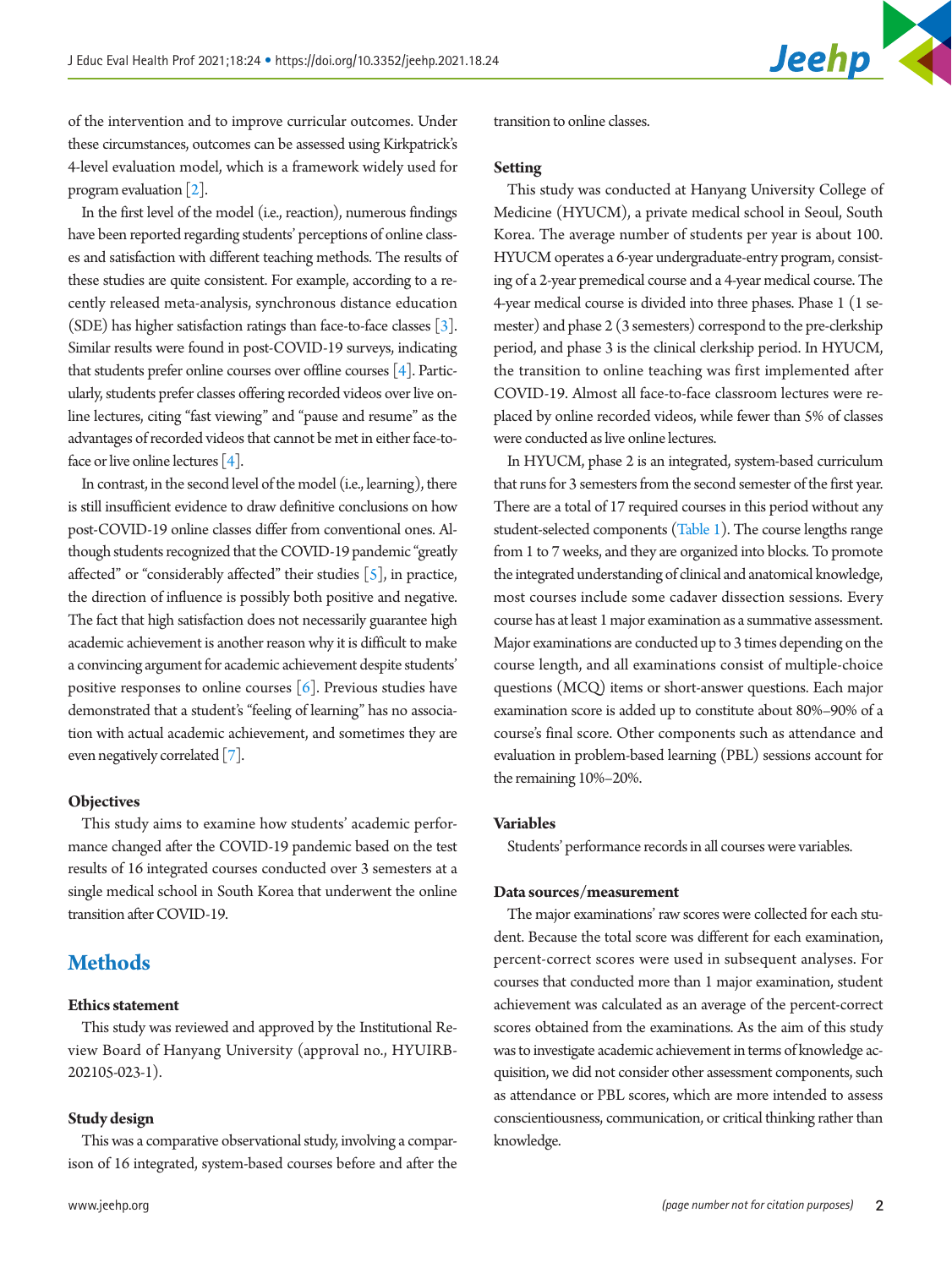

of the intervention and to improve curricular outcomes. Under these circumstances, outcomes can be assessed using Kirkpatrick's 4-level evaluation model, which is a framework widely used for program evaluation [\[2](#page-8-1)].

In the first level of the model (i.e., reaction), numerous findings have been reported regarding students' perceptions of online classes and satisfaction with different teaching methods. The results of these studies are quite consistent. For example, according to a recently released meta-analysis, synchronous distance education (SDE) has higher satisfaction ratings than face-to-face classes [\[3](#page-8-2)]. Similar results were found in post-COVID-19 surveys, indicating that students prefer online courses over offline courses [\[4](#page-8-3)]. Particularly, students prefer classes offering recorded videos over live online lectures, citing "fast viewing" and "pause and resume" as the advantages of recorded videos that cannot be met in either face-to-face or live online lectures [\[4\]](#page-8-3).

In contrast, in the second level of the model (i.e., learning), there is still insufficient evidence to draw definitive conclusions on how post-COVID-19 online classes differ from conventional ones. Although students recognized that the COVID-19 pandemic "greatly affected" or "considerably affected" their studies  $[5]$  $[5]$ , in practice, the direction of influence is possibly both positive and negative. The fact that high satisfaction does not necessarily guarantee high academic achievement is another reason why it is difficult to make a convincing argument for academic achievement despite students' positive responses to online courses  $[6]$  $[6]$ . Previous studies have demonstrated that a student's "feeling of learning" has no association with actual academic achievement, and sometimes they are even negatively correlated [\[7](#page-8-6)].

## **Objectives**

This study aims to examine how students' academic performance changed after the COVID-19 pandemic based on the test results of 16 integrated courses conducted over 3 semesters at a single medical school in South Korea that underwent the online transition after COVID-19.

# **Methods**

## **Ethics statement**

This study was reviewed and approved by the Institutional Review Board of Hanyang University (approval no., HYUIRB-202105-023-1).

## **Study design**

This was a comparative observational study, involving a comparison of 16 integrated, system-based courses before and after the transition to online classes.

## **Setting**

This study was conducted at Hanyang University College of Medicine (HYUCM), a private medical school in Seoul, South Korea. The average number of students per year is about 100. HYUCM operates a 6-year undergraduate-entry program, consisting of a 2-year premedical course and a 4-year medical course. The 4-year medical course is divided into three phases. Phase 1 (1 semester) and phase 2 (3 semesters) correspond to the pre-clerkship period, and phase 3 is the clinical clerkship period. In HYUCM, the transition to online teaching was first implemented after COVID-19. Almost all face-to-face classroom lectures were replaced by online recorded videos, while fewer than 5% of classes were conducted as live online lectures.

In HYUCM, phase 2 is an integrated, system-based curriculum that runs for 3 semesters from the second semester of the first year. There are a total of 17 required courses in this period without any student-selected components [\(Table 1](#page-2-0)). The course lengths range from 1 to 7 weeks, and they are organized into blocks. To promote the integrated understanding of clinical and anatomical knowledge, most courses include some cadaver dissection sessions. Every course has at least 1 major examination as a summative assessment. Major examinations are conducted up to 3 times depending on the course length, and all examinations consist of multiple-choice questions (MCQ) items or short-answer questions. Each major examination score is added up to constitute about 80%–90% of a course's final score. Other components such as attendance and evaluation in problem-based learning (PBL) sessions account for the remaining 10%–20%.

## **Variables**

Students' performance records in all courses were variables.

## **Data sources/measurement**

The major examinations' raw scores were collected for each student. Because the total score was different for each examination, percent-correct scores were used in subsequent analyses. For courses that conducted more than 1 major examination, student achievement was calculated as an average of the percent-correct scores obtained from the examinations. As the aim of this study was to investigate academic achievement in terms of knowledge acquisition, we did not consider other assessment components, such as attendance or PBL scores, which are more intended to assess conscientiousness, communication, or critical thinking rather than knowledge.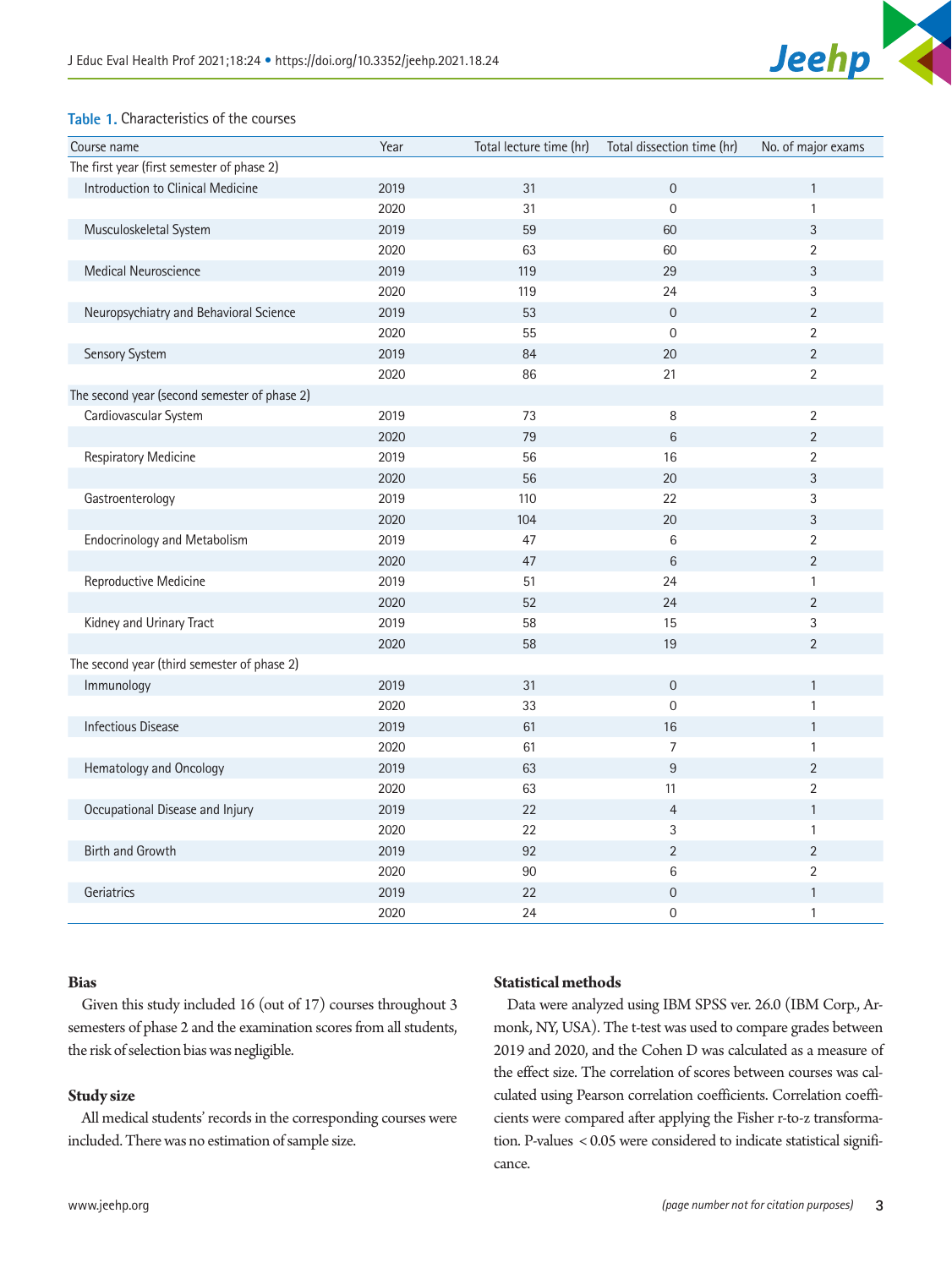

## <span id="page-2-0"></span>**Table 1.** Characteristics of the courses

| Course name                                  | Year | Total lecture time (hr) | Total dissection time (hr) | No. of major exams |
|----------------------------------------------|------|-------------------------|----------------------------|--------------------|
| The first year (first semester of phase 2)   |      |                         |                            |                    |
| Introduction to Clinical Medicine            | 2019 | 31                      | $\boldsymbol{0}$           | $\mathbf{1}$       |
|                                              | 2020 | 31                      | $\overline{0}$             | $\mathbf{1}$       |
| Musculoskeletal System                       | 2019 | 59                      | 60                         | $\sqrt{3}$         |
|                                              | 2020 | 63                      | 60                         | $\overline{2}$     |
| Medical Neuroscience                         | 2019 | 119                     | 29                         | $\sqrt{3}$         |
|                                              | 2020 | 119                     | 24                         | 3                  |
| Neuropsychiatry and Behavioral Science       | 2019 | 53                      | $\overline{0}$             | $\overline{2}$     |
|                                              | 2020 | 55                      | $\overline{0}$             | $\overline{2}$     |
| Sensory System                               | 2019 | 84                      | 20                         | $\overline{2}$     |
|                                              | 2020 | 86                      | 21                         | $\overline{2}$     |
| The second year (second semester of phase 2) |      |                         |                            |                    |
| Cardiovascular System                        | 2019 | 73                      | 8                          | $\overline{2}$     |
|                                              | 2020 | 79                      | $6\phantom{a}$             | $\sqrt{2}$         |
| Respiratory Medicine                         | 2019 | 56                      | 16                         | $\overline{2}$     |
|                                              | 2020 | 56                      | 20                         | $\sqrt{3}$         |
| Gastroenterology                             | 2019 | 110                     | 22                         | 3                  |
|                                              | 2020 | 104                     | 20                         | $\sqrt{3}$         |
| <b>Endocrinology and Metabolism</b>          | 2019 | 47                      | $\,6\,$                    | $\overline{2}$     |
|                                              | 2020 | 47                      | $6\phantom{a}$             | $\overline{2}$     |
| Reproductive Medicine                        | 2019 | 51                      | 24                         | $\mathbf{1}$       |
|                                              | 2020 | 52                      | 24                         | $\overline{2}$     |
| Kidney and Urinary Tract                     | 2019 | 58                      | 15                         | 3                  |
|                                              | 2020 | 58                      | 19                         | $\overline{2}$     |
| The second year (third semester of phase 2)  |      |                         |                            |                    |
| Immunology                                   | 2019 | 31                      | $\mathbf 0$                | $\mathbf{1}$       |
|                                              | 2020 | 33                      | $\overline{0}$             | $\mathbf{1}$       |
| <b>Infectious Disease</b>                    | 2019 | 61                      | 16                         | $\mathbf{1}$       |
|                                              | 2020 | 61                      | $\overline{7}$             | $\mathbf{1}$       |
| Hematology and Oncology                      | 2019 | 63                      | $\overline{9}$             | $\overline{2}$     |
|                                              | 2020 | 63                      | 11                         | $\overline{2}$     |
| Occupational Disease and Injury              | 2019 | 22                      | $\overline{4}$             | $\mathbf{1}$       |
|                                              | 2020 | 22                      | $\sqrt{3}$                 | $\mathbf{1}$       |
| Birth and Growth                             | 2019 | 92                      | $\overline{2}$             | $\overline{2}$     |
|                                              | 2020 | 90                      | 6                          | $\overline{2}$     |
| Geriatrics                                   | 2019 | 22                      | $\mathbf 0$                | $\mathbf{1}$       |
|                                              | 2020 | 24                      | $\mathbf 0$                | $\mathbf{1}$       |

## **Bias**

Given this study included 16 (out of 17) courses throughout 3 semesters of phase 2 and the examination scores from all students, the risk of selection bias was negligible.

## **Study size**

All medical students' records in the corresponding courses were included. There was no estimation of sample size.

## **Statistical methods**

Data were analyzed using IBM SPSS ver. 26.0 (IBM Corp., Armonk, NY, USA). The t-test was used to compare grades between 2019 and 2020, and the Cohen D was calculated as a measure of the effect size. The correlation of scores between courses was calculated using Pearson correlation coefficients. Correlation coefficients were compared after applying the Fisher r-to-z transformation. P-values < 0.05 were considered to indicate statistical significance.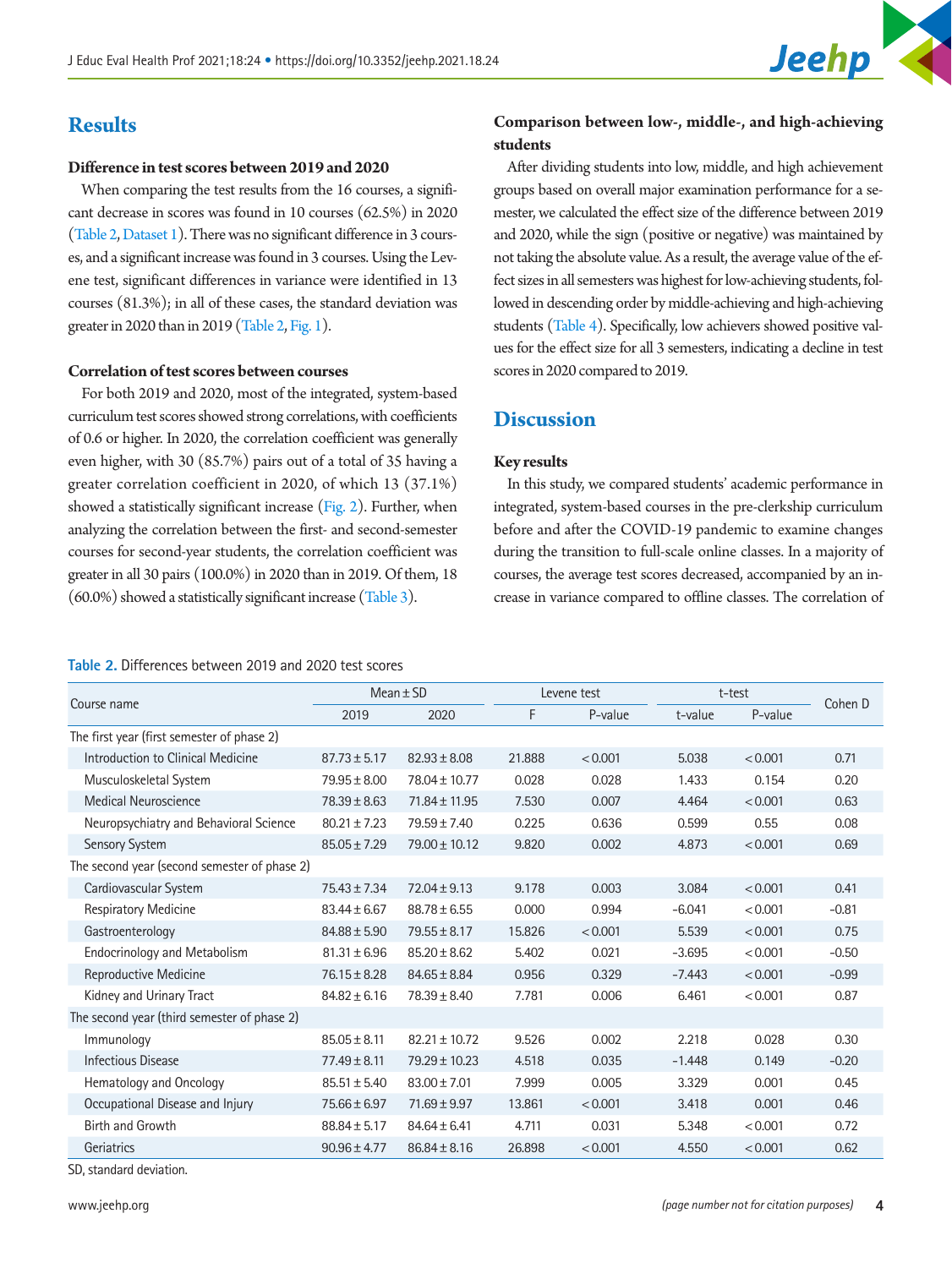

# **Results**

### **Difference in test scores between 2019 and 2020**

When comparing the test results from the 16 courses, a significant decrease in scores was found in 10 courses (62.5%) in 2020 [\(Table 2](#page-3-0), Dataset 1). There was no significant difference in 3 courses, and a significant increase was found in 3 courses. Using the Levene test, significant differences in variance were identified in 13 courses (81.3%); in all of these cases, the standard deviation was greater in 2020 than in 2019 [\(Table 2,](#page-3-0) [Fig. 1](#page-4-0)).

### **Correlation of test scores between courses**

For both 2019 and 2020, most of the integrated, system-based curriculum test scores showed strong correlations, with coefficients of 0.6 or higher. In 2020, the correlation coefficient was generally even higher, with 30 (85.7%) pairs out of a total of 35 having a greater correlation coefficient in 2020, of which 13 (37.1%) showed a statistically significant increase [\(Fig. 2\)](#page-5-0). Further, when analyzing the correlation between the first- and second-semester courses for second-year students, the correlation coefficient was greater in all 30 pairs (100.0%) in 2020 than in 2019. Of them, 18 (60.0%) showed a statistically significant increase [\(Table 3](#page-5-1)).

## <span id="page-3-0"></span>**Table 2.** Differences between 2019 and 2020 test scores

## **Comparison between low-, middle-, and high-achieving students**

After dividing students into low, middle, and high achievement groups based on overall major examination performance for a semester, we calculated the effect size of the difference between 2019 and 2020, while the sign (positive or negative) was maintained by not taking the absolute value. As a result, the average value of the effect sizes in all semesters was highest for low-achieving students, followed in descending order by middle-achieving and high-achieving students [\(Table 4](#page-6-0)). Specifically, low achievers showed positive values for the effect size for all 3 semesters, indicating a decline in test scores in 2020 compared to 2019.

## **Discussion**

### **Key results**

In this study, we compared students' academic performance in integrated, system-based courses in the pre-clerkship curriculum before and after the COVID-19 pandemic to examine changes during the transition to full-scale online classes. In a majority of courses, the average test scores decreased, accompanied by an increase in variance compared to offline classes. The correlation of

| Course name                                  | $Mean \pm SD$    |                   | Levene test |         | t-test   |         | Cohen D |  |
|----------------------------------------------|------------------|-------------------|-------------|---------|----------|---------|---------|--|
|                                              | 2019             | 2020              | F           | P-value | t-value  | P-value |         |  |
| The first year (first semester of phase 2)   |                  |                   |             |         |          |         |         |  |
| Introduction to Clinical Medicine            | $87.73 \pm 5.17$ | $82.93 \pm 8.08$  | 21.888      | < 0.001 | 5.038    | < 0.001 | 0.71    |  |
| Musculoskeletal System                       | $79.95 \pm 8.00$ | 78.04 ± 10.77     | 0.028       | 0.028   | 1.433    | 0.154   | 0.20    |  |
| Medical Neuroscience                         | $78.39 \pm 8.63$ | 71.84 ± 11.95     | 7.530       | 0.007   | 4.464    | < 0.001 | 0.63    |  |
| Neuropsychiatry and Behavioral Science       | $80.21 \pm 7.23$ | $79.59 \pm 7.40$  | 0.225       | 0.636   | 0.599    | 0.55    | 0.08    |  |
| Sensory System                               | $85.05 \pm 7.29$ | $79.00 \pm 10.12$ | 9.820       | 0.002   | 4.873    | < 0.001 | 0.69    |  |
| The second year (second semester of phase 2) |                  |                   |             |         |          |         |         |  |
| Cardiovascular System                        | $75.43 \pm 7.34$ | $72.04 \pm 9.13$  | 9.178       | 0.003   | 3.084    | < 0.001 | 0.41    |  |
| Respiratory Medicine                         | $83.44 \pm 6.67$ | $88.78 \pm 6.55$  | 0.000       | 0.994   | $-6.041$ | < 0.001 | $-0.81$ |  |
| Gastroenterology                             | $84.88 \pm 5.90$ | $79.55 \pm 8.17$  | 15.826      | < 0.001 | 5.539    | < 0.001 | 0.75    |  |
| <b>Endocrinology and Metabolism</b>          | $81.31 \pm 6.96$ | $85.20 \pm 8.62$  | 5.402       | 0.021   | $-3.695$ | < 0.001 | $-0.50$ |  |
| Reproductive Medicine                        | $76.15 \pm 8.28$ | $84.65 \pm 8.84$  | 0.956       | 0.329   | $-7.443$ | < 0.001 | $-0.99$ |  |
| Kidney and Urinary Tract                     | $84.82 \pm 6.16$ | $78.39 \pm 8.40$  | 7.781       | 0.006   | 6.461    | < 0.001 | 0.87    |  |
| The second year (third semester of phase 2)  |                  |                   |             |         |          |         |         |  |
| Immunology                                   | $85.05 \pm 8.11$ | $82.21 \pm 10.72$ | 9.526       | 0.002   | 2.218    | 0.028   | 0.30    |  |
| Infectious Disease                           | $77.49 \pm 8.11$ | $79.29 \pm 10.23$ | 4.518       | 0.035   | $-1.448$ | 0.149   | $-0.20$ |  |
| Hematology and Oncology                      | $85.51 \pm 5.40$ | $83.00 \pm 7.01$  | 7.999       | 0.005   | 3.329    | 0.001   | 0.45    |  |
| Occupational Disease and Injury              | $75.66 \pm 6.97$ | $71.69 \pm 9.97$  | 13.861      | < 0.001 | 3.418    | 0.001   | 0.46    |  |
| Birth and Growth                             | $88.84 \pm 5.17$ | $84.64 \pm 6.41$  | 4.711       | 0.031   | 5.348    | < 0.001 | 0.72    |  |
| Geriatrics                                   | $90.96 \pm 4.77$ | $86.84 \pm 8.16$  | 26.898      | < 0.001 | 4.550    | < 0.001 | 0.62    |  |

SD, standard deviation.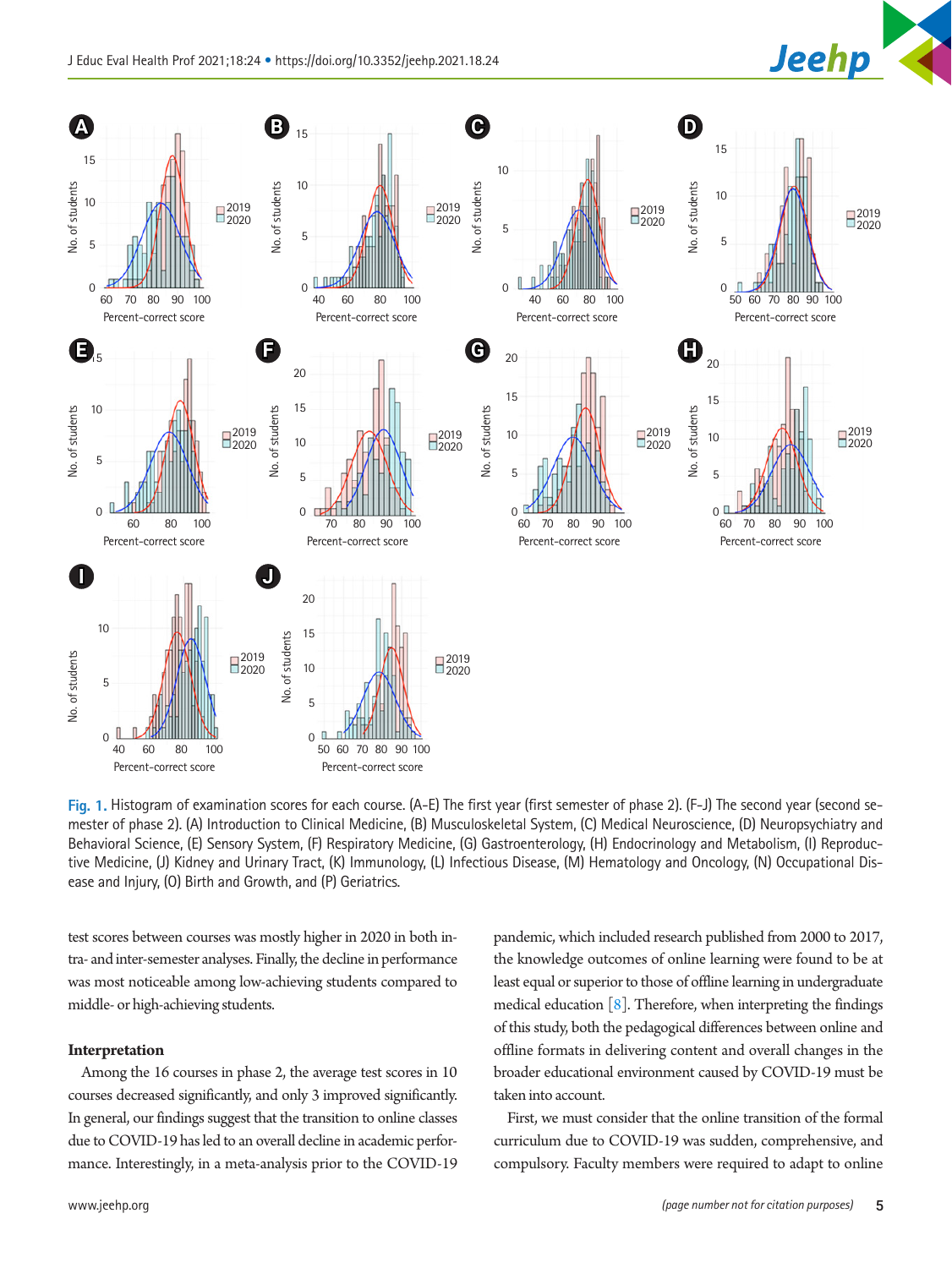

<span id="page-4-0"></span>

Fig. 1. Histogram of examination scores for each course. (A-E) The first year (first semester of phase 2). (F-J) The second year (second semester of phase 2). (A) Introduction to Clinical Medicine, (B) Musculoskeletal System, (C) Medical Neuroscience, (D) Neuropsychiatry and Behavioral Science, (E) Sensory System, (F) Respiratory Medicine, (G) Gastroenterology, (H) Endocrinology and Metabolism, (I) Reproductive Medicine, (J) Kidney and Urinary Tract, (K) Immunology, (L) Infectious Disease, (M) Hematology and Oncology, (N) Occupational Dis-

test scores between courses was mostly higher in 2020 in both intra- and inter-semester analyses. Finally, the decline in performance was most noticeable among low-achieving students compared to middle- or high-achieving students.

## **Interpretation**

Among the 16 courses in phase 2, the average test scores in 10 courses decreased significantly, and only 3 improved significantly. In general, our findings suggest that the transition to online classes due to COVID-19 has led to an overall decline in academic performance. Interestingly, in a meta-analysis prior to the COVID-19

pandemic, which included research published from 2000 to 2017, the knowledge outcomes of online learning were found to be at least equal or superior to those of offline learning in undergraduate medical education  $\lceil 8 \rceil$ . Therefore, when interpreting the findings of this study, both the pedagogical differences between online and offline formats in delivering content and overall changes in the broader educational environment caused by COVID-19 must be taken into account.

First, we must consider that the online transition of the formal curriculum due to COVID-19 was sudden, comprehensive, and compulsory. Faculty members were required to adapt to online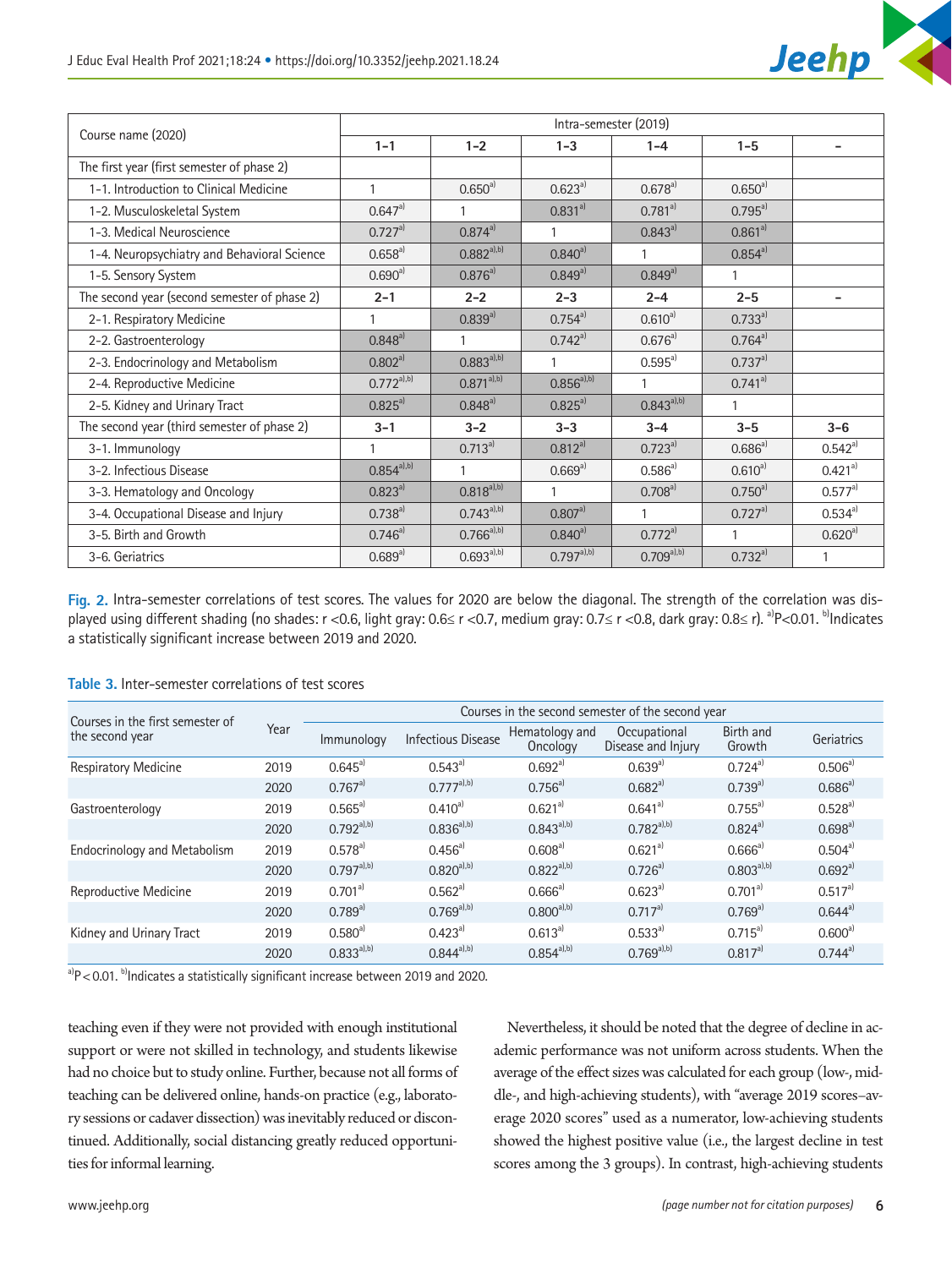

<span id="page-5-0"></span>

|                                              | Intra-semester (2019) |                 |                  |                 |                |                          |  |
|----------------------------------------------|-----------------------|-----------------|------------------|-----------------|----------------|--------------------------|--|
| Course name (2020)                           | $1 - 1$               | $1 - 2$         | $1 - 3$          | $1 - 4$         | $1 - 5$        |                          |  |
| The first year (first semester of phase 2)   |                       |                 |                  |                 |                |                          |  |
| 1-1. Introduction to Clinical Medicine       |                       | $0.650^{a}$     | $0.623^{a}$      | $0.678^{a}$     | $0.650^{a}$    |                          |  |
| 1-2. Musculoskeletal System                  | $0.647a}$             | $\mathbf{1}$    | $0.831^{a}$      | $0.781^{a}$     | $0.795a}^{a)}$ |                          |  |
| 1-3. Medical Neuroscience                    | $0.727a}$             | $0.874^{a}$     | $\mathbf{1}$     | $0.843^{a}$     | $0.861^{a}$    |                          |  |
| 1-4. Neuropsychiatry and Behavioral Science  | $0.658^{a}$           | $0.882^{a ,b)}$ | $0.840^{a}$      |                 | $0.854^{a}$    |                          |  |
| 1-5. Sensory System                          | $0.690^{a}$           | $0.876a^{}$     | $0.849a^{3}$     | $0.849a^{3}$    | 1              |                          |  |
| The second year (second semester of phase 2) | $2 - 1$               | $2 - 2$         | $2 - 3$          | $2 - 4$         | $2 - 5$        | $\overline{\phantom{0}}$ |  |
| 2-1. Respiratory Medicine                    |                       | $0.839^{a}$     | $0.754^{a}$      | $0.610^{a}$     | $0.733^{a}$    |                          |  |
| 2-2. Gastroenterology                        | $0.848^{a}$           | 1               | $0.742^{a}$      | $0.676^{a}$     | $0.764^{a}$    |                          |  |
| 2-3. Endocrinology and Metabolism            | $0.802^{a}$           | $0.883^{a),b)}$ |                  | $0.595^{a}$     | $0.737a}^{a)}$ |                          |  |
| 2-4. Reproductive Medicine                   | $0.772^{a),b)}$       | $0.871^{a,b}$   | $0.856a^{3, b)}$ | 1               | $0.741a^{3}$   |                          |  |
| 2-5. Kidney and Urinary Tract                | $0.825a^{})$          | $0.848^{a}$     | $0.825^{a}$      | $0.843^{a),b}$  | $\mathbf{1}$   |                          |  |
| The second year (third semester of phase 2)  | $3 - 1$               | $3 - 2$         | $3 - 3$          | $3 - 4$         | $3 - 5$        | $3 - 6$                  |  |
| 3-1. Immunology                              |                       | $0.713a}$       | $0.812^{a}$      | $0.723a}$       | $0.686^{a}$    | $0.542^{a}$              |  |
| 3-2. Infectious Disease                      | $0.854^{a),b)}$       | 1               | $0.669^{a}$      | $0.586^{a}$     | $0.610^{a}$    | $0.421^{a}$              |  |
| 3-3. Hematology and Oncology                 | $0.823a^{}$           | $0.818^{a),b}$  | $\mathbf{1}$     | $0.708^{a}$     | $0.750^{a}$    | $0.577^{a}$              |  |
| 3-4. Occupational Disease and Injury         | $0.738^{a}$           | $0.743^{a),b)}$ | $0.807a}^{a)}$   | $\mathbf{1}$    | $0.727a}$      | $0.534^{a}$              |  |
| 3-5. Birth and Growth                        | $0.746a^{})$          | $0.766^{a),b)}$ | $0.840^{a}$      | $0.772a^{})$    | $\mathbf{1}$   | $0.620^{a}$              |  |
| 3-6. Geriatrics                              | $0.689^{a}$           | $0.693^{a),b)}$ | $0.797a^{,b)}$   | $0.709^{a),b)}$ | $0.732^{a}$    | 1                        |  |

**Fig. 2.** Intra-semester correlations of test scores. The values for 2020 are below the diagonal. The strength of the correlation was displayed using different shading (no shades: r <0.6, light gray: 0.6≤ r <0.7, medium gray: 0.7≤ r <0.8, dark gray: 0.8≤ r). <sup>a)</sup>P<0.01. <sup>b)</sup>Indicates a statistically significant increase between 2019 and 2020.

| Courses in the first semester of    |      | Courses in the second semester of the second year |                           |                            |                                    |                     |              |  |
|-------------------------------------|------|---------------------------------------------------|---------------------------|----------------------------|------------------------------------|---------------------|--------------|--|
| the second year                     | Year | Immunology                                        | <b>Infectious Disease</b> | Hematology and<br>Oncology | Occupational<br>Disease and Injury | Birth and<br>Growth | Geriatrics   |  |
| Respiratory Medicine                | 2019 | $0.645^{a}$                                       | $0.543^{a}$               | $0.692^{a}$                | $0.639^{a}$                        | $0.724a^{}$         | $0.506^{a}$  |  |
|                                     | 2020 | $0.767^{a}$                                       | $0.777^{a,b}$             | $0.756^{a}$                | $0.682^{a}$                        | $0.739^{a}$         | $0.686^{a)}$ |  |
| Gastroenterology                    | 2019 | $0.565^{a}$                                       | $0.410^{a}$               | $0.621^{a}$                | $0.641^{a}$                        | $0.755^{a}$         | $0.528^{a}$  |  |
|                                     | 2020 | $0.792a^{(b)}$                                    | $0.836a^{,b)}$            | $0.843^{a),b)}$            | $0.782^{a),b)}$                    | $0.824^{a}$         | $0.698^{a}$  |  |
| <b>Endocrinology and Metabolism</b> | 2019 | $0.578^{a}$                                       | $0.456^{a}$               | $0.608^{a}$                | $0.621^{a}$                        | $0.666^{a}$         | $0.504^{a}$  |  |
|                                     | 2020 | $0.797a^{(b)}$                                    | $0.820^{a),b}$            | $0.822^{a ,b)}$            | $0.726a^{}$                        | $0.803^{a),b}$      | $0.692a^{}$  |  |
| Reproductive Medicine               | 2019 | $0.701^{a}$                                       | $0.562^{a}$               | $0.666^{a}$                | $0.623^{a}$                        | $0.701^{a}$         | $0.517^{a}$  |  |
|                                     | 2020 | $0.789^{a}$                                       | $0.769^{a),b)}$           | $0.800^{a),b}$             | $0.717a}$                          | $0.769^{a}$         | $0.644^{a}$  |  |
| Kidney and Urinary Tract            | 2019 | $0.580^{a}$                                       | $0.423^{a}$               | $0.613^{a}$                | $0.533^{a}$                        | $0.715^{a}$         | $0.600^{a}$  |  |
|                                     | 2020 | $0.833^{a ,b)}$                                   | $0.844a^{(1, b)}$         | $0.854^{a),b)}$            | $0.769a^{(b)}$                     | $0.817a^{}$         | $0.744^{a}$  |  |

## <span id="page-5-1"></span>**Table 3.** Inter-semester correlations of test scores

 $a^3P$  < 0.01. b)Indicates a statistically significant increase between 2019 and 2020.

teaching even if they were not provided with enough institutional support or were not skilled in technology, and students likewise had no choice but to study online. Further, because not all forms of teaching can be delivered online, hands-on practice (e.g., laboratory sessions or cadaver dissection) was inevitably reduced or discontinued. Additionally, social distancing greatly reduced opportunities for informal learning.

Nevertheless, it should be noted that the degree of decline in academic performance was not uniform across students. When the average of the effect sizes was calculated for each group (low-, middle-, and high-achieving students), with "average 2019 scores–average 2020 scores" used as a numerator, low-achieving students showed the highest positive value (i.e., the largest decline in test scores among the 3 groups). In contrast, high-achieving students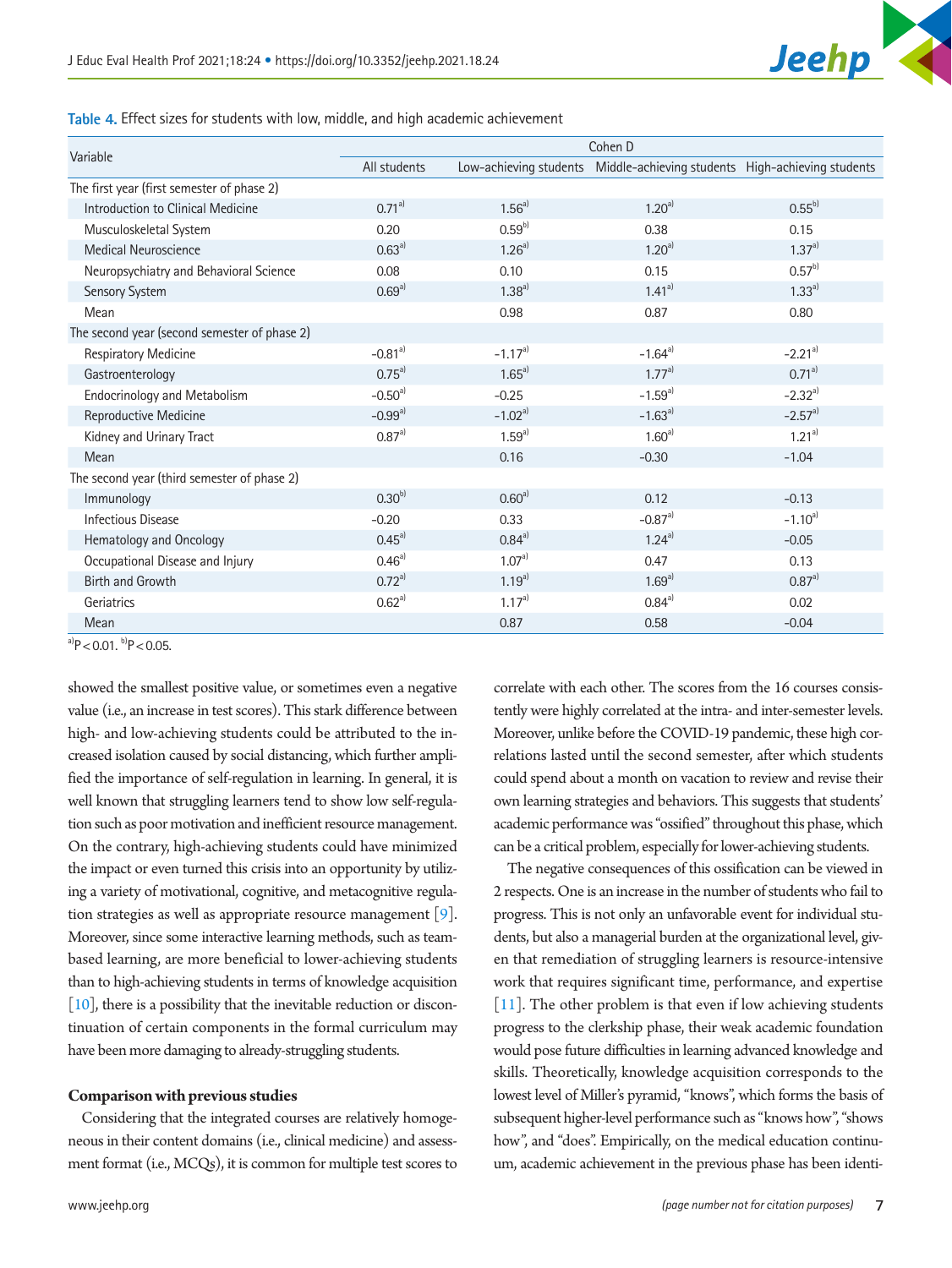

<span id="page-6-0"></span>**Table 4.** Effect sizes for students with low, middle, and high academic achievement

| Variable                                     | Cohen D      |             |                                                                          |             |  |  |  |
|----------------------------------------------|--------------|-------------|--------------------------------------------------------------------------|-------------|--|--|--|
|                                              | All students |             | Low-achieving students Middle-achieving students High-achieving students |             |  |  |  |
| The first year (first semester of phase 2)   |              |             |                                                                          |             |  |  |  |
| Introduction to Clinical Medicine            | $0.71^{a}$   | $1.56^{a}$  | $1.20^{a}$                                                               | $0.55^{b}$  |  |  |  |
| Musculoskeletal System                       | 0.20         | $0.59^{b)}$ | 0.38                                                                     | 0.15        |  |  |  |
| <b>Medical Neuroscience</b>                  | $0.63^{a}$   | $1.26^{a}$  | $1.20^{a}$                                                               | $1.37^{a}$  |  |  |  |
| Neuropsychiatry and Behavioral Science       | 0.08         | 0.10        | 0.15                                                                     | $0.57^{b}$  |  |  |  |
| Sensory System                               | $0.69^{a}$   | $1.38^{a}$  | $1.41^{a}$                                                               | $1.33^{a}$  |  |  |  |
| Mean                                         |              | 0.98        | 0.87                                                                     | 0.80        |  |  |  |
| The second year (second semester of phase 2) |              |             |                                                                          |             |  |  |  |
| Respiratory Medicine                         | $-0.81^{a}$  | $-1.17^{a}$ | $-1.64^{a}$                                                              | $-2.21^{a}$ |  |  |  |
| Gastroenterology                             | $0.75^{a}$   | $1.65^{a}$  | $1.77^{a}$                                                               | $0.71^{a}$  |  |  |  |
| <b>Endocrinology and Metabolism</b>          | $-0.50^{a}$  | $-0.25$     | $-1.59^{a}$                                                              | $-2.32^{a}$ |  |  |  |
| Reproductive Medicine                        | $-0.99a^{}$  | $-1.02a^{}$ | $-1.63a^{}$                                                              | $-2.57a}$   |  |  |  |
| Kidney and Urinary Tract                     | $0.87^{a}$   | $1.59^{a}$  | $1.60^{a}$                                                               | $1.21^{a}$  |  |  |  |
| Mean                                         |              | 0.16        | $-0.30$                                                                  | $-1.04$     |  |  |  |
| The second year (third semester of phase 2)  |              |             |                                                                          |             |  |  |  |
| Immunology                                   | $0.30^{b}$   | $0.60^{a}$  | 0.12                                                                     | $-0.13$     |  |  |  |
| <b>Infectious Disease</b>                    | $-0.20$      | 0.33        | $-0.87a}$                                                                | $-1.10^{a}$ |  |  |  |
| Hematology and Oncology                      | $0.45^{a}$   | $0.84^{a}$  | $1.24^{a}$                                                               | $-0.05$     |  |  |  |
| Occupational Disease and Injury              | $0.46^{a}$   | $1.07^{a}$  | 0.47                                                                     | 0.13        |  |  |  |
| <b>Birth and Growth</b>                      | $0.72a^{}$   | $1.19^{a}$  | $1.69^{a}$                                                               | $0.87^{a}$  |  |  |  |
| Geriatrics                                   | $0.62^{a}$   | $1.17^{a}$  | $0.84^{a}$                                                               | 0.02        |  |  |  |
| Mean                                         |              | 0.87        | 0.58                                                                     | $-0.04$     |  |  |  |

 $a)P < 0.01$ ,  $b)P < 0.05$ .

showed the smallest positive value, or sometimes even a negative value (i.e., an increase in test scores). This stark difference between high- and low-achieving students could be attributed to the increased isolation caused by social distancing, which further amplified the importance of self-regulation in learning. In general, it is well known that struggling learners tend to show low self-regulation such as poor motivation and inefficient resource management. On the contrary, high-achieving students could have minimized the impact or even turned this crisis into an opportunity by utilizing a variety of motivational, cognitive, and metacognitive regulation strategies as well as appropriate resource management [\[9](#page-8-9)]. Moreover, since some interactive learning methods, such as teambased learning, are more beneficial to lower-achieving students than to high-achieving students in terms of knowledge acquisition [\[10\]](#page-8-10), there is a possibility that the inevitable reduction or discontinuation of certain components in the formal curriculum may have been more damaging to already-struggling students.

#### **Comparison with previous studies**

Considering that the integrated courses are relatively homogeneous in their content domains (i.e., clinical medicine) and assessment format (i.e., MCQs), it is common for multiple test scores to

correlate with each other. The scores from the 16 courses consistently were highly correlated at the intra- and inter-semester levels. Moreover, unlike before the COVID-19 pandemic, these high correlations lasted until the second semester, after which students could spend about a month on vacation to review and revise their own learning strategies and behaviors. This suggests that students' academic performance was "ossified" throughout this phase, which can be a critical problem, especially for lower-achieving students.

The negative consequences of this ossification can be viewed in 2 respects. One is an increase in the number of students who fail to progress. This is not only an unfavorable event for individual students, but also a managerial burden at the organizational level, given that remediation of struggling learners is resource-intensive work that requires significant time, performance, and expertise [\[11\]](#page-8-6). The other problem is that even if low achieving students progress to the clerkship phase, their weak academic foundation would pose future difficulties in learning advanced knowledge and skills. Theoretically, knowledge acquisition corresponds to the lowest level of Miller's pyramid, "knows", which forms the basis of subsequent higher-level performance such as "knows how", "shows how", and "does". Empirically, on the medical education continuum, academic achievement in the previous phase has been identi-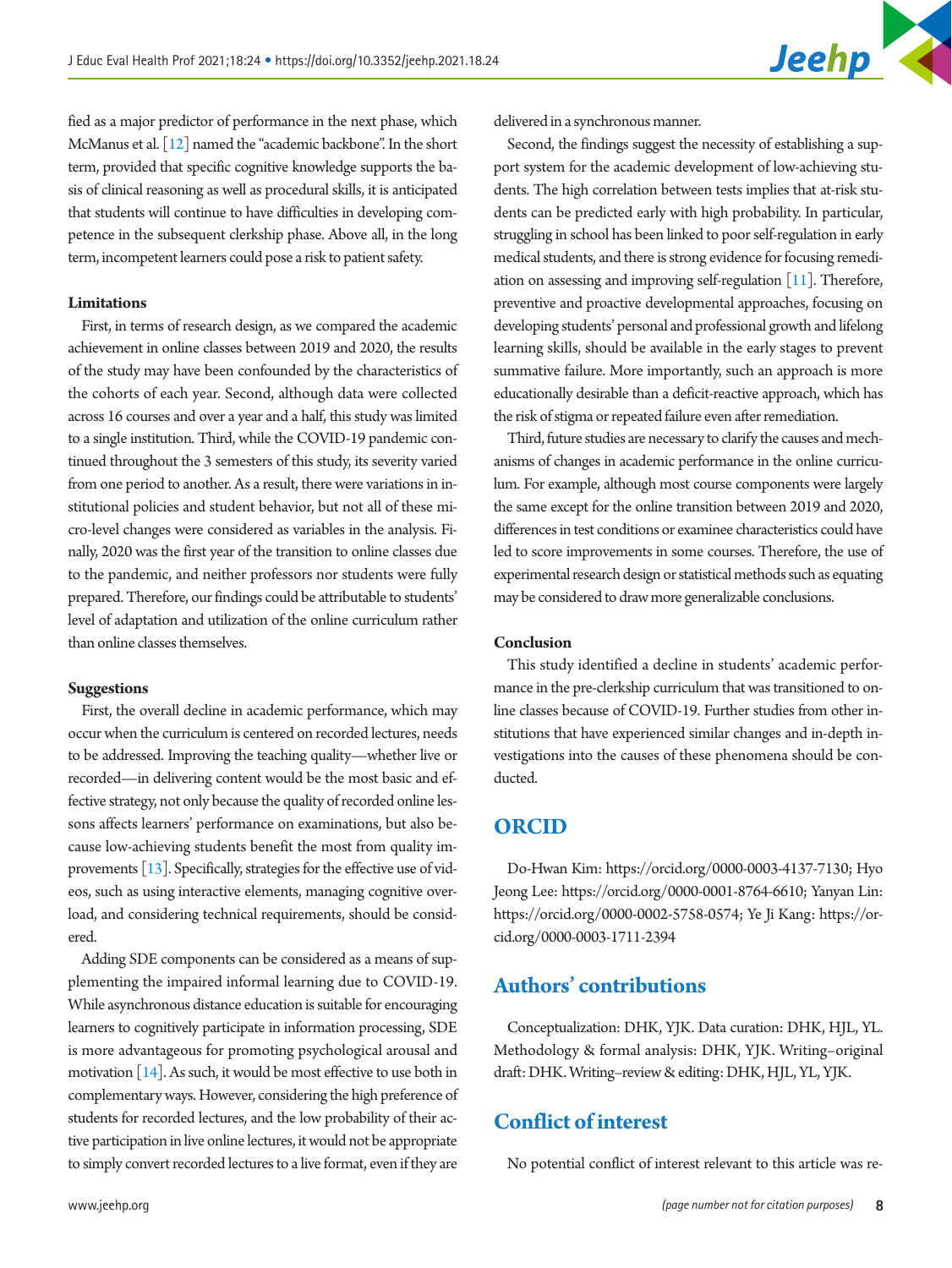fied as a major predictor of performance in the next phase, which McManus et al. [\[12\]](#page-8-11) named the "academic backbone". In the short term, provided that specific cognitive knowledge supports the basis of clinical reasoning as well as procedural skills, it is anticipated that students will continue to have difficulties in developing competence in the subsequent clerkship phase. Above all, in the long term, incompetent learners could pose a risk to patient safety.

#### **Limitations**

First, in terms of research design, as we compared the academic achievement in online classes between 2019 and 2020, the results of the study may have been confounded by the characteristics of the cohorts of each year. Second, although data were collected across 16 courses and over a year and a half, this study was limited to a single institution. Third, while the COVID-19 pandemic continued throughout the 3 semesters of this study, its severity varied from one period to another. As a result, there were variations in institutional policies and student behavior, but not all of these micro-level changes were considered as variables in the analysis. Finally, 2020 was the first year of the transition to online classes due to the pandemic, and neither professors nor students were fully prepared. Therefore, our findings could be attributable to students' level of adaptation and utilization of the online curriculum rather than online classes themselves.

### **Suggestions**

First, the overall decline in academic performance, which may occur when the curriculum is centered on recorded lectures, needs to be addressed. Improving the teaching quality—whether live or recorded—in delivering content would be the most basic and effective strategy, not only because the quality of recorded online lessons affects learners' performance on examinations, but also because low-achieving students benefit the most from quality improvements  $[13]$ . Specifically, strategies for the effective use of videos, such as using interactive elements, managing cognitive overload, and considering technical requirements, should be considered.

Adding SDE components can be considered as a means of supplementing the impaired informal learning due to COVID-19. While asynchronous distance education is suitable for encouraging learners to cognitively participate in information processing, SDE is more advantageous for promoting psychological arousal and motivation [\[14](#page-8-13)]. As such, it would be most effective to use both in complementary ways. However, considering the high preference of students for recorded lectures, and the low probability of their active participation in live online lectures, it would not be appropriate to simply convert recorded lectures to a live format, even if they are delivered in a synchronous manner.

Second, the findings suggest the necessity of establishing a support system for the academic development of low-achieving students. The high correlation between tests implies that at-risk students can be predicted early with high probability. In particular, struggling in school has been linked to poor self-regulation in early medical students, and there is strong evidence for focusing remediation on assessing and improving self-regulation  $[11]$ . Therefore, preventive and proactive developmental approaches, focusing on developing students' personal and professional growth and lifelong learning skills, should be available in the early stages to prevent summative failure. More importantly, such an approach is more educationally desirable than a deficit-reactive approach, which has the risk of stigma or repeated failure even after remediation.

Third, future studies are necessary to clarify the causes and mechanisms of changes in academic performance in the online curriculum. For example, although most course components were largely the same except for the online transition between 2019 and 2020, differences in test conditions or examinee characteristics could have led to score improvements in some courses. Therefore, the use of experimental research design or statistical methods such as equating may be considered to draw more generalizable conclusions.

## **Conclusion**

This study identified a decline in students' academic performance in the pre-clerkship curriculum that was transitioned to online classes because of COVID-19. Further studies from other institutions that have experienced similar changes and in-depth investigations into the causes of these phenomena should be conducted.

## **ORCID**

Do-Hwan Kim: [https://orcid.org/0000-0003-4137-713](http://orcid.org/0000-0003-4137-7130)0; Hyo Jeong Lee: [https://orcid.org/0000-0001-8764-6610](http://orcid.org/0000-0001-8764-6610); Yanyan Lin: [https://orcid.org/0000-0002-5758-0574](http://orcid.org/0000-0002-5758-0574); Ye Ji Kang: [https://or](http://orcid.org/0000-0003-1711-2394)[cid.org/0000-0003-1711-23](http://orcid.org/0000-0003-1711-2394)94

## **Authors' contributions**

Conceptualization: DHK, YJK. Data curation: DHK, HJL, YL. Methodology & formal analysis: DHK, YJK. Writing–original draft: DHK. Writing–review & editing: DHK, HJL, YL, YJK.

# **Conflict of interest**

No potential conflict of interest relevant to this article was re-